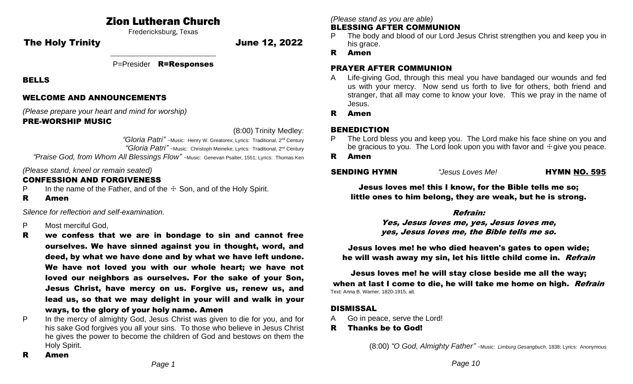# Zion Lutheran Church

Fredericksburg, Texas

The Holy Trinity **The Holy Trinity** 12, 2022

\_\_\_\_\_\_\_\_\_\_\_\_\_\_\_\_\_\_\_\_\_\_\_\_\_\_\_\_ P=Presider R=Responses

BELLS

## WELCOME AND ANNOUNCEMENTS

*(Please prepare your heart and mind for worship)*

### PRE-WORSHIP MUSIC

(8:00) Trinity Medley:

*"Gloria Patri"* ~Music: Henry W. Greatorex; Lyrics: Traditional, 2nd Century  *"Gloria Patri"* ~Music: Christoph Meineke; Lyrics: Traditional, 2nd Century

*"Praise God, from Whom All Blessings Flow"* ~Music: Genevan Psalter, 1551; Lyrics: Thomas Ken

*(Please stand, kneel or remain seated)*

## CONFESSION AND FORGIVENESS

- P In the name of the Father, and of the  $\pm$  Son, and of the Holy Spirit.
- R Amen

*Silence for reflection and self-examination.*

- P Most merciful God,
- R we confess that we are in bondage to sin and cannot free ourselves. We have sinned against you in thought, word, and deed, by what we have done and by what we have left undone. We have not loved you with our whole heart; we have not loved our neighbors as ourselves. For the sake of your Son, Jesus Christ, have mercy on us. Forgive us, renew us, and lead us, so that we may delight in your will and walk in your ways, to the glory of your holy name. Amen
- P In the mercy of almighty God, Jesus Christ was given to die for you, and for his sake God forgives you all your sins. To those who believe in Jesus Christ he gives the power to become the children of God and bestows on them the Holy Spirit.

*(Please stand as you are able)*

#### BLESSING AFTER COMMUNION

- The body and blood of our Lord Jesus Christ strengthen you and keep you in his grace.
- R Amen

## PRAYER AFTER COMMUNION

- A Life-giving God, through this meal you have bandaged our wounds and fed us with your mercy. Now send us forth to live for others, both friend and stranger, that all may come to know your love. This we pray in the name of Jesus.
- R Amen

# BENEDICTION

- The Lord bless you and keep you. The Lord make his face shine on you and be gracious to you. The Lord look upon you with favor and  $\dagger$  give you peace.
- R Amen

**SENDING HYMN** *"Jesus Loves Me!* **HYMN NO. 595** 

Jesus loves me! this I know, for the Bible tells me so; little ones to him belong, they are weak, but he is strong.

## Refrain:

Yes, Jesus loves me, yes, Jesus loves me, yes, Jesus loves me, the Bible tells me so.

Jesus loves me! he who died heaven's gates to open wide; he will wash away my sin, let his little child come in. Refrain

Jesus loves me! he will stay close beside me all the way; when at last I come to die, he will take me home on high. Refrain Text: Anna B. Warner, 1820-1915, alt.

## **DISMISSAL**

- A Go in peace, serve the Lord!
- R Thanks be to God!

(8:00) *"O God, Almighty Father"* ~Music: *Limburg Gesangbuch*, 1838; Lyrics: Anonymous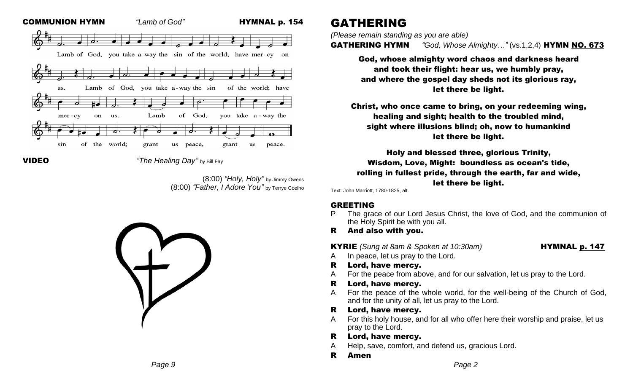



VIDEO*"The Healing Day"* by Bill Fay

(8:00) *"Holy, Holy"* by Jimmy Owens (8:00) *"Father, I Adore You"* by Terrye Coelho



# GATHERING

*(Please remain standing as you are able)*

GATHERING HYMN *"God, Whose Almighty…"* (vs.1,2,4) HYMN NO. 673

God, whose almighty word chaos and darkness heard and took their flight: hear us, we humbly pray, and where the gospel day sheds not its glorious ray, let there be light.

Christ, who once came to bring, on your redeeming wing, healing and sight; health to the troubled mind, sight where illusions blind; oh, now to humankind let there be light.

Holy and blessed three, glorious Trinity, Wisdom, Love, Might: boundless as ocean's tide, rolling in fullest pride, through the earth, far and wide, let there be light.

Text: John Marriott, 1780-1825, alt.

# GREETING

- P The grace of our Lord Jesus Christ, the love of God, and the communion of the Holy Spirit be with you all.
- R And also with you.

**KYRIE** *(Sung at 8am & Spoken at 10:30am)* **HYMNAL p. 147** 

- A In peace, let us pray to the Lord.
- R Lord, have mercy.
- A For the peace from above, and for our salvation, let us pray to the Lord.
- R Lord, have mercy.
- A For the peace of the whole world, for the well-being of the Church of God, and for the unity of all, let us pray to the Lord.
- R Lord, have mercy.
- A For this holy house, and for all who offer here their worship and praise, let us pray to the Lord.
- R Lord, have mercy.
- A Help, save, comfort, and defend us, gracious Lord.
- R Amen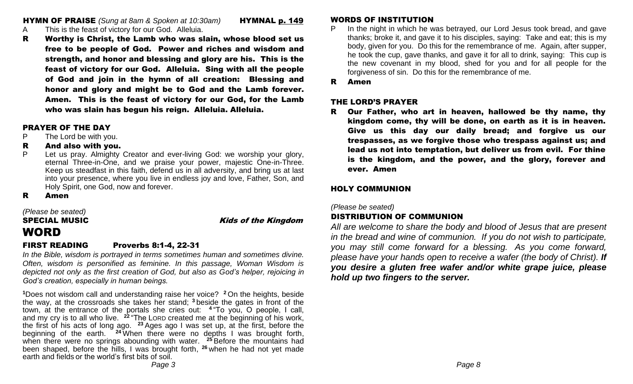**HYMN OF PRAISE** *(Sung at 8am & Spoken at 10:30am)* **HYMNAL p. 149** 

- A This is the feast of victory for our God. Alleluia.
- R Worthy is Christ, the Lamb who was slain, whose blood set us free to be people of God. Power and riches and wisdom and strength, and honor and blessing and glory are his. This is the feast of victory for our God. Alleluia. Sing with all the people of God and join in the hymn of all creation: Blessing and honor and glory and might be to God and the Lamb forever. Amen. This is the feast of victory for our God, for the Lamb who was slain has begun his reign. Alleluia. Alleluia.

#### PRAYER OF THE DAY

- P The Lord be with you.
- R And also with you.
- P Let us pray. Almighty Creator and ever-living God: we worship your glory, eternal Three-in-One, and we praise your power, majestic One-in-Three. Keep us steadfast in this faith, defend us in all adversity, and bring us at last into your presence, where you live in endless joy and love, Father, Son, and Holy Spirit, one God, now and forever.
- R Amen

*(Please be seated)* SPECIAL MUSIC **Kids** of the Kingdom WORD

# FIRST READING Proverbs 8:1-4, 22-31

*In the Bible, wisdom is portrayed in terms sometimes human and sometimes divine. Often, wisdom is personified as feminine. In this passage, Woman Wisdom is depicted not only as the first creation of God, but also as God's helper, rejoicing in God's creation, especially in human beings.*

**<sup>1</sup>**Does not wisdom call and understanding raise her voice? **<sup>2</sup>** On the heights, beside the way, at the crossroads she takes her stand; **<sup>3</sup>** beside the gates in front of the town, at the entrance of the portals she cries out: **4** "To you, O people, I call, and my cry is to all who live. **<sup>22</sup>** "The LORD created me at the beginning of his work, the first of his acts of long ago. **<sup>23</sup>** Ages ago I was set up, at the first, before the beginning of the earth. **<sup>24</sup>** When there were no depths I was brought forth, when there were no springs abounding with water. **<sup>25</sup>** Before the mountains had been shaped, before the hills, I was brought forth, **<sup>26</sup>** when he had not yet made earth and fields or the world's first bits of soil.

# WORDS OF INSTITUTION

- P In the night in which he was betrayed, our Lord Jesus took bread, and gave thanks; broke it, and gave it to his disciples, saying: Take and eat; this is my body, given for you. Do this for the remembrance of me. Again, after supper, he took the cup, gave thanks, and gave it for all to drink, saying: This cup is the new covenant in my blood, shed for you and for all people for the forgiveness of sin. Do this for the remembrance of me.
- R Amen

#### THE LORD'S PRAYER

R Our Father, who art in heaven, hallowed be thy name, thy kingdom come, thy will be done, on earth as it is in heaven. Give us this day our daily bread; and forgive us our trespasses, as we forgive those who trespass against us; and lead us not into temptation, but deliver us from evil. For thine is the kingdom, and the power, and the glory, forever and ever. Amen

## HOLY COMMUNION

*(Please be seated)*

# DISTRIBUTION OF COMMUNION

*All are welcome to share the body and blood of Jesus that are present in the bread and wine of communion. If you do not wish to participate, you may still come forward for a blessing. As you come forward, please have your hands open to receive a wafer (the body of Christ). If you desire a gluten free wafer and/or white grape juice, please hold up two fingers to the server.*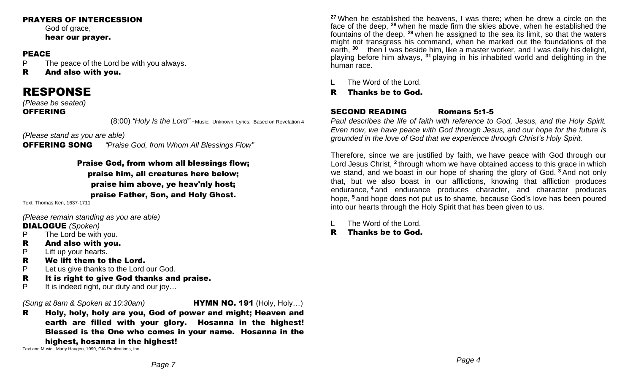#### PRAYERS OF INTERCESSION

God of grace. hear our prayer.

#### PEACE

P The peace of the Lord be with you always.

R And also with you.

# RESPONSE

*(Please be seated)* 

#### **OFFERING**

(8:00) *"Holy Is the Lord"* ~Music: Unknown; Lyrics: Based on Revelation <sup>4</sup>

*(Please stand as you are able)* 

OFFERING SONG *"Praise God, from Whom All Blessings Flow"*

Praise God, from whom all blessings flow; praise him, all creatures here below; praise him above, ye heav'nly host; praise Father, Son, and Holy Ghost.

Text: Thomas Ken, 1637-1711

*(Please remain standing as you are able)* 

### DIALOGUE *(Spoken)*

- P The Lord be with you.
- R And also with you.
- P Lift up your hearts.
- R We lift them to the Lord.
- P Let us give thanks to the Lord our God.
- R It is right to give God thanks and praise.
- P It is indeed right, our duty and our joy...

#### *(Sung at 8am & Spoken at 10:30am)* HYMN NO. 191 (Holy, Holy…)

R Holy, holy, holy are you, God of power and might; Heaven and earth are filled with your glory. Hosanna in the highest! Blessed is the One who comes in your name. Hosanna in the highest, hosanna in the highest!

Text and Music: Marty Haugen, 1990, GIA Publications, Inc.

**<sup>27</sup>** When he established the heavens, I was there; when he drew a circle on the face of the deep, **<sup>28</sup>** when he made firm the skies above, when he established the fountains of the deep, **<sup>29</sup>** when he assigned to the sea its limit, so that the waters might not transgress his command, when he marked out the foundations of the earth, <sup>30</sup> then I was beside him, like a master worker, and I was daily his delight, playing before him always, **<sup>31</sup>** playing in his inhabited world and delighting in the human race.

L The Word of the Lord.

### R Thanks be to God.

### SECOND READING Romans 5:1-5

*Paul describes the life of faith with reference to God, Jesus, and the Holy Spirit. Even now, we have peace with God through Jesus, and our hope for the future is grounded in the love of God that we experience through Christ's Holy Spirit.*

Therefore, since we are justified by faith, we have peace with God through our Lord Jesus Christ, <sup>2</sup> through whom we have obtained access to this grace in which we stand, and we boast in our hope of sharing the glory of God. **<sup>3</sup>** And not only that, but we also boast in our afflictions, knowing that affliction produces endurance, **<sup>4</sup>** and endurance produces character, and character produces hope, **<sup>5</sup>** and hope does not put us to shame, because God's love has been poured into our hearts through the Holy Spirit that has been given to us.

- The Word of the Lord.
- R Thanks be to God.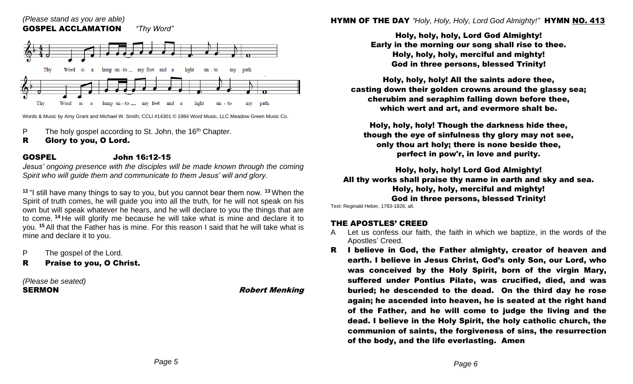

Words & Music by Amy Grant and Michael W. Smith; CCLI #14301 © 1984 Word Music, LLC Meadow Green Music Co.

- P The holy gospel according to St. John, the 16<sup>th</sup> Chapter.
- R Glory to you, O Lord.

## GOSPEL John 16:12-15

*Jesus' ongoing presence with the disciples will be made known through the coming Spirit who will guide them and communicate to them Jesus' will and glory.*

**<sup>12</sup>** "I still have many things to say to you, but you cannot bear them now. **<sup>13</sup>** When the Spirit of truth comes, he will guide you into all the truth, for he will not speak on his own but will speak whatever he hears, and he will declare to you the things that are to come. **<sup>14</sup>** He will glorify me because he will take what is mine and declare it to you. **<sup>15</sup>** All that the Father has is mine. For this reason I said that he will take what is mine and declare it to you.

P The gospel of the Lord.

R Praise to you, O Christ.

*(Please be seated)* SERMON **Robert Menking** 

Holy, holy, holy, Lord God Almighty! Early in the morning our song shall rise to thee. Holy, holy, holy, merciful and mighty! God in three persons, blessed Trinity!

Holy, holy, holy! All the saints adore thee, casting down their golden crowns around the glassy sea; cherubim and seraphim falling down before thee, which wert and art, and evermore shalt be.

Holy, holy, holy! Though the darkness hide thee, though the eye of sinfulness thy glory may not see, only thou art holy; there is none beside thee, perfect in pow'r, in love and purity.

Holy, holy, holy! Lord God Almighty! All thy works shall praise thy name in earth and sky and sea. Holy, holy, holy, merciful and mighty! God in three persons, blessed Trinity!

Text: Reginald Heber, 1783-1826, alt.

### THE APOSTLES' CREED

- A Let us confess our faith, the faith in which we baptize, in the words of the Apostles' Creed.
- R I believe in God, the Father almighty, creator of heaven and earth. I believe in Jesus Christ, God's only Son, our Lord, who was conceived by the Holy Spirit, born of the virgin Mary, suffered under Pontius Pilate, was crucified, died, and was buried; he descended to the dead. On the third day he rose again; he ascended into heaven, he is seated at the right hand of the Father, and he will come to judge the living and the dead. I believe in the Holy Spirit, the holy catholic church, the communion of saints, the forgiveness of sins, the resurrection of the body, and the life everlasting. Amen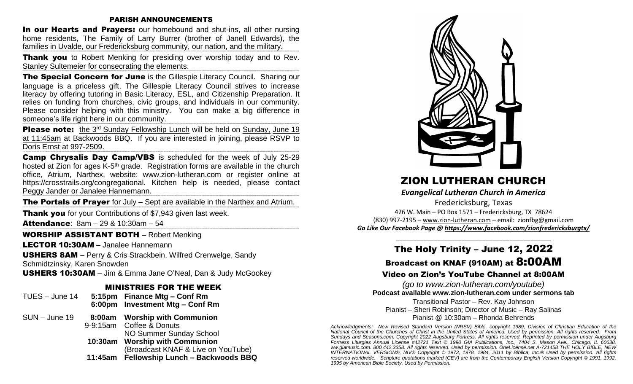#### PARISH ANNOUNCEMENTS

In our Hearts and Prayers: our homebound and shut-ins, all other nursing home residents, The Family of Larry Burrer (brother of Janell Edwards), the families in Uvalde, our Fredericksburg community, our nation, and the military.

**+++++++++++++++++++++++++++++++++++++++++++++++++++++++++++++++++++++++++++++++++++++++++++++++++++++++++++++++++++++++++++++++++++++++++++++++++++++++++++++++++++++++++++++++++++++++++++++++++++++++++++++++++++++++++++++++++++++++++++++++++++++++++++++++++++++++++++++++++++++++++++++++++++++++++++++++++++++++++++++++++++++++++++++++++++++++++++++++++++++++++++++++++++++++++ Thank you** to Robert Menking for presiding over worship today and to Rev. Stanley Sultemeier for consecrating the elements.

The Special Concern for June is the Gillespie Literacy Council. Sharing our language is a priceless gift. The Gillespie Literacy Council strives to increase literacy by offering tutoring in Basic Literacy, ESL, and Citizenship Preparation. It relies on funding from churches, civic groups, and individuals in our community. Please consider helping with this ministry. You can make a big difference in someone's life right here in our community. **+++++++++++++++++++++++++++++++++++++++++++++++++++++++++++++++++++++++++++++++++++++++++++++++++++++++++++++++++++++++++++++++++++++++++++++++++++++++++++++++++++++++++++++++++++++++++++++++++++++++++++++++++++++++++++++++++++++++++++++++++++++++++++++++++++++++++++++++++++++++++++++++++++++++++++++++++++++++++++++++++++++++++++++++++++++++++++++++++++++++++++++++++++++++++**

**Please note:** the 3<sup>rd</sup> Sunday Fellowship Lunch will be held on Sunday, June 19 at 11:45am at Backwoods BBQ. If you are interested in joining, please RSVP to Doris Ernst at 997-2509.

Camp Chrysalis Day Camp/VBS is scheduled for the week of July 25-29 hosted at Zion for ages K-5<sup>th</sup> grade. Registration forms are available in the church office, Atrium, Narthex, website: [www.zion-lutheran.com](http://www.zion-lutheran.com/) or register online at [https://crosstrails.org/congregational.](https://crosstrails.org/congregational) Kitchen help is needed, please contact Peggy Jander or Janalee Hannemann.

**+++++++++++++++++++++++++++++++++++++++++++++++++++++++++++++++++++++++++++++++++++++++++++++++++++++++++++++++++++++++++++++++++++++++++++++++++++++++++++++++++++++++++++++++++++++++++++++++++++++++++++++++++++++++++++++++++++++++++++++++++++++++++++++++++++++++++++++++++++++++++++++++++++++++++++++++++++++++++++++++++++++++++++++++++++++++++++++++++++++++++++++++++++++++++** The Portals of Prayer for July – Sept are available in the Narthex and Atrium. **+++++++++++++++++++++++++++++++++++++++++++++++++++++++++++++++++++++++++++++++++++++++++++++++++++++++++++++++++++++++++++++++++++++++++++++++++++++++++++++++++++++++++++++++++++++++++++++++++++++++++++++++++++++++++++++++++++++++++++++++++++++++++++++++++++++++++++++++++++++++++++++++++++++++++++++++++++++++++++++++++++++++++++++++++++++++++++++++++++++++++++++++++++++++++**

**Thank you** for your Contributions of \$7,943 given last week.

**Attendance:**  $8am - 29 & 10:30am - 54$ 

#### WORSHIP ASSISTANT BOTH – Robert Menking

LECTOR 10:30AM – Janalee Hannemann

USHERS 8AM – Perry & Cris Strackbein, Wilfred Crenwelge, Sandy Schmidtzinsky, Karen Snowden

USHERS 10:30AM – Jim & Emma Jane O'Neal, Dan & Judy McGookey

#### MINISTRIES FOR THE WEEK

| TUES - June 14  |                          | 5:15pm Finance Mtg - Conf Rm<br>6:00pm Investment Mtg - Conf Rm      |
|-----------------|--------------------------|----------------------------------------------------------------------|
| $SUM - June 19$ | 9-9:15am Coffee & Donuts | 8:00am Worship with Communion<br>NO Summer Sunday School             |
|                 |                          | 10:30am Worship with Communion<br>(Broadcast KNAF & Live on YouTube) |
|                 |                          | 11:45am Fellowship Lunch - Backwoods BBQ                             |



# ZION LUTHERAN CHURCH

*Evangelical Lutheran Church in America*

Fredericksburg, Texas 426 W. Main – PO Box 1571 – Fredericksburg, TX 78624 (830) 997-2195 – [www.zion-lutheran.com](http://www.zion-lutheran.com/) – email: [zionfbg@gmail.com](mailto:zionfbg@gmail.com) *Go Like Our Facebook Page @ <https://www.facebook.com/zionfredericksburgtx/>*

# \_\_\_\_\_\_\_\_\_\_\_\_\_\_\_\_\_\_\_\_\_\_\_\_\_\_\_\_\_\_\_\_\_\_\_\_\_\_\_\_\_\_\_\_\_ The Holy Trinity – June 12, 2022

# Broadcast on KNAF (910AM) at 8:00AM

#### Video on Zion's YouTube Channel at 8:00AM

*(go to [www.zion-lutheran.com/youtube\)](http://www.zion-lutheran.com/youtube)* **Podcast available www.zion-lutheran.com under sermons tab**

Transitional Pastor – Rev. Kay Johnson Pianist – Sheri Robinson; Director of Music – Ray Salinas Pianist @ 10:30am – Rhonda Behrends

*Acknowledgments: New Revised Standard Version (NRSV) Bible, copyright 1989, Division of Christian Education of the National Council of the Churches of Christ in the United States of America. Used by permission. All rights reserved. From Sundays and Seasons.com. Copyright 2022 Augsburg Fortress. All rights reserved. Reprinted by permission under Augsburg Fortress Liturgies Annual License #42721 Text © 1990 GIA Publications, Inc., 7404 S. Mason Ave., Chicago, IL 60638. ww.giamusic.com. 800.442.3358. All rights reserved. Used by permission. OneLicense.net A-721458 THE HOLY BIBLE, NEW INTERNATIONAL VERSION®, NIV® Copyright © 1973, 1978, 1984, 2011 by Biblica, Inc.® Used by permission. All rights reserved worldwide. Scripture quotations marked (CEV) are from the Contemporary English Version Copyright © 1991, 1992, 1995 by American Bible Society, Used by Permission.*